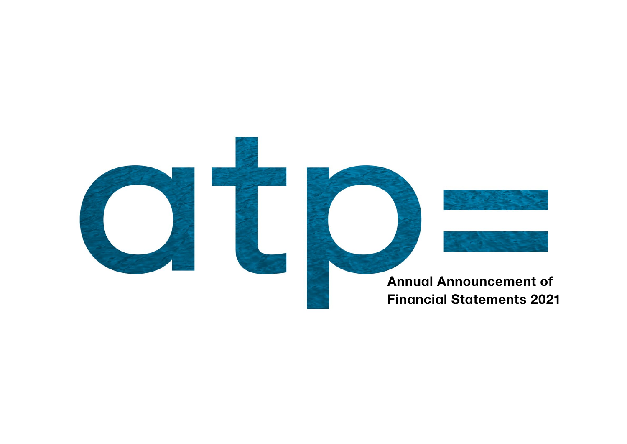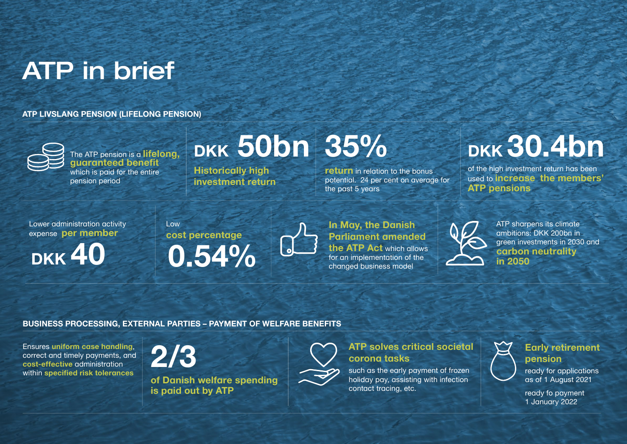# ATP in brief

**ATP LIVSLANG PENSION (LIFELONG PENSION)**



The ATP pension is a **lifelong, guaranteed benefit** which is paid for the entire pension period

potential. 24 per cent on average for the past 5 years

# **DKK 30.4bn**

**ATP sharpens its climate** ambitions: DKK 200bn in green investments in 2030 and **carbon neutrality in 2050** 



of the high investment return has been used to **increase the members' ATP pensions** 

## **In May, the Danish Parliament amended the ATP Act** which allows for an implementation of the changed business model



## **BUSINESS PROCESSING, EXTERNAL PARTIES – PAYMENT OF WELFARE BENEFITS**

# **35% DKK 50bn**

Ensures **uniform case handling**, correct and timely payments, and **cost-effective** administration within **specified risk tolerances**

**2/3** 

**of Danish welfare spending is paid out by ATP**



## **ATP solves critical societal corona tasks**

such as the early payment of frozen holiday pay, assisting with infection contact tracing, etc.

## **Early retirement pension**

ready for applications as of 1 August 2021

ready fo payment 1 January 2022

**Historically high investment return**  **return** in relation to the bonus

Lower administration activity expense **per member**

**DKK 40**

## Low **cost percentage 0.54%**

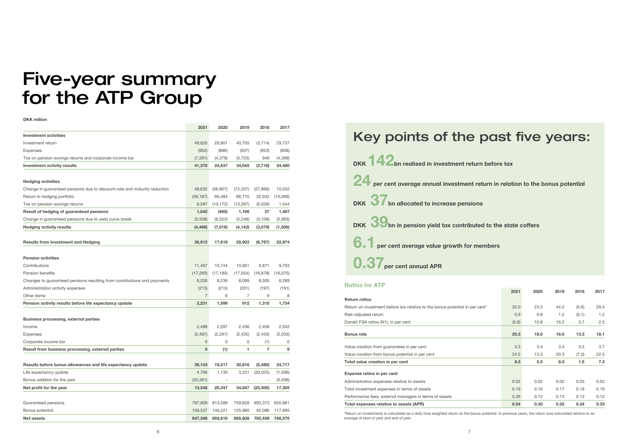## Five-year summary for the ATP Group

**DKK million**

| <b>Investment activities</b><br>Investment return<br>49,620<br>29,901<br>40,705<br>(3,714)<br>29,737<br>Expenses<br>(952)<br>(886)<br>(937)<br>(953)<br>(858)<br>Tax on pension savings returns and corporate income tax<br>(7, 291)<br>(4,378)<br>(5, 723)<br>949<br>(4,399)<br><b>Investment activity results</b><br>41,378<br>24,637<br>34,045<br>(3,718)<br>24,480<br><b>Hedging activities</b><br>(56, 807)<br>10,032<br>Change in guaranteed pensions due to discount rate and maturity reduction<br>48,632<br>(72, 337)<br>(27, 866)<br>Return in hedging portfolio<br>(56, 187)<br>66,484<br>86,710<br>32,932<br>(10,089)<br>Tax on pension savings returns<br>8,597<br>(10, 172)<br>(13, 267)<br>(5,039)<br>1,544<br>Result of hedging of guaranteed pensions<br>1,042<br>(495)<br>1,106<br>27<br>1,487<br>Change in guaranteed pensions due to yield curve break<br>(5,508)<br>(6, 523)<br>(5,248)<br>(2,993)<br>(3, 106)<br><b>Hedging activity results</b><br>(4, 466)<br>(7,018)<br>(4, 142)<br>(3,079)<br>(1,506)<br>36,912<br>22,974<br><b>Results from Investment and Hedging</b><br>17,619<br>29,903<br>(6, 797)<br><b>Pension activities</b><br>Contributions<br>11,497<br>10,744<br>10,061<br>9,871<br>9,703<br>Pension benefits<br>(17,260)<br>(17, 180)<br>(17,054)<br>(16, 878)<br>(16, 075)<br>Changes to guaranteed pensions resulting from contributions and payments<br>8,200<br>8,239<br>8,099<br>8,505<br>8,289<br>Administration activity expenses<br>(213)<br>(210)<br>(201)<br>(197)<br>(191)<br>$\overline{7}$<br>Other items<br>6<br>7<br>9<br>8<br>Pension activity results before life expectancy update<br>2,231<br>1,599<br>912<br>1,310<br>1,734<br><b>Business processing, external parties</b><br>2,498<br>2,297<br>2,042<br>Income<br>2,436<br>2,458<br>(2, 297)<br>(2, 435)<br>(2,033)<br><b>Expenses</b><br>(2, 497)<br>(2,450)<br>$\mathbf{0}$<br>Corporate income tax<br>0<br>0<br>(1)<br>0<br>$\overline{7}$<br>Result from business processing, external parties<br>$\mathbf 0$<br>(1)<br>9<br>1<br>39,143<br>Results before bonus allowances and life expectancy update<br>19,217<br>30,816<br>(5,480)<br>24,717<br>4,796<br>Life expectancy update<br>1,130<br>3,231<br>(20, 025)<br>(1,006)<br>Bonus addition for the year<br>(30, 391)<br>(6, 406)<br>÷<br>Net profit for the year<br>13,548<br>20,347<br>34,047<br>(25, 505)<br>17,305<br>Guaranteed pensions<br>787,809<br>813,589<br>759,628<br>693,373<br>650,881<br>146,221<br>Bonus potential<br>159,537<br>125,980<br>92,086<br>117,695<br>959,810<br><b>Net assets</b><br>947,346<br>885,608<br>785,459<br>768,576 | 2021 | 2020 | 2019 | 2018 | 2017 |
|-------------------------------------------------------------------------------------------------------------------------------------------------------------------------------------------------------------------------------------------------------------------------------------------------------------------------------------------------------------------------------------------------------------------------------------------------------------------------------------------------------------------------------------------------------------------------------------------------------------------------------------------------------------------------------------------------------------------------------------------------------------------------------------------------------------------------------------------------------------------------------------------------------------------------------------------------------------------------------------------------------------------------------------------------------------------------------------------------------------------------------------------------------------------------------------------------------------------------------------------------------------------------------------------------------------------------------------------------------------------------------------------------------------------------------------------------------------------------------------------------------------------------------------------------------------------------------------------------------------------------------------------------------------------------------------------------------------------------------------------------------------------------------------------------------------------------------------------------------------------------------------------------------------------------------------------------------------------------------------------------------------------------------------------------------------------------------------------------------------------------------------------------------------------------------------------------------------------------------------------------------------------------------------------------------------------------------------------------------------------------------------------------------------------------------------------------------------------------------------------------------------------------------------------------------------------------------------------------------------------------------|------|------|------|------|------|
|                                                                                                                                                                                                                                                                                                                                                                                                                                                                                                                                                                                                                                                                                                                                                                                                                                                                                                                                                                                                                                                                                                                                                                                                                                                                                                                                                                                                                                                                                                                                                                                                                                                                                                                                                                                                                                                                                                                                                                                                                                                                                                                                                                                                                                                                                                                                                                                                                                                                                                                                                                                                                               |      |      |      |      |      |
|                                                                                                                                                                                                                                                                                                                                                                                                                                                                                                                                                                                                                                                                                                                                                                                                                                                                                                                                                                                                                                                                                                                                                                                                                                                                                                                                                                                                                                                                                                                                                                                                                                                                                                                                                                                                                                                                                                                                                                                                                                                                                                                                                                                                                                                                                                                                                                                                                                                                                                                                                                                                                               |      |      |      |      |      |
|                                                                                                                                                                                                                                                                                                                                                                                                                                                                                                                                                                                                                                                                                                                                                                                                                                                                                                                                                                                                                                                                                                                                                                                                                                                                                                                                                                                                                                                                                                                                                                                                                                                                                                                                                                                                                                                                                                                                                                                                                                                                                                                                                                                                                                                                                                                                                                                                                                                                                                                                                                                                                               |      |      |      |      |      |
|                                                                                                                                                                                                                                                                                                                                                                                                                                                                                                                                                                                                                                                                                                                                                                                                                                                                                                                                                                                                                                                                                                                                                                                                                                                                                                                                                                                                                                                                                                                                                                                                                                                                                                                                                                                                                                                                                                                                                                                                                                                                                                                                                                                                                                                                                                                                                                                                                                                                                                                                                                                                                               |      |      |      |      |      |
|                                                                                                                                                                                                                                                                                                                                                                                                                                                                                                                                                                                                                                                                                                                                                                                                                                                                                                                                                                                                                                                                                                                                                                                                                                                                                                                                                                                                                                                                                                                                                                                                                                                                                                                                                                                                                                                                                                                                                                                                                                                                                                                                                                                                                                                                                                                                                                                                                                                                                                                                                                                                                               |      |      |      |      |      |
|                                                                                                                                                                                                                                                                                                                                                                                                                                                                                                                                                                                                                                                                                                                                                                                                                                                                                                                                                                                                                                                                                                                                                                                                                                                                                                                                                                                                                                                                                                                                                                                                                                                                                                                                                                                                                                                                                                                                                                                                                                                                                                                                                                                                                                                                                                                                                                                                                                                                                                                                                                                                                               |      |      |      |      |      |
|                                                                                                                                                                                                                                                                                                                                                                                                                                                                                                                                                                                                                                                                                                                                                                                                                                                                                                                                                                                                                                                                                                                                                                                                                                                                                                                                                                                                                                                                                                                                                                                                                                                                                                                                                                                                                                                                                                                                                                                                                                                                                                                                                                                                                                                                                                                                                                                                                                                                                                                                                                                                                               |      |      |      |      |      |
|                                                                                                                                                                                                                                                                                                                                                                                                                                                                                                                                                                                                                                                                                                                                                                                                                                                                                                                                                                                                                                                                                                                                                                                                                                                                                                                                                                                                                                                                                                                                                                                                                                                                                                                                                                                                                                                                                                                                                                                                                                                                                                                                                                                                                                                                                                                                                                                                                                                                                                                                                                                                                               |      |      |      |      |      |
|                                                                                                                                                                                                                                                                                                                                                                                                                                                                                                                                                                                                                                                                                                                                                                                                                                                                                                                                                                                                                                                                                                                                                                                                                                                                                                                                                                                                                                                                                                                                                                                                                                                                                                                                                                                                                                                                                                                                                                                                                                                                                                                                                                                                                                                                                                                                                                                                                                                                                                                                                                                                                               |      |      |      |      |      |
|                                                                                                                                                                                                                                                                                                                                                                                                                                                                                                                                                                                                                                                                                                                                                                                                                                                                                                                                                                                                                                                                                                                                                                                                                                                                                                                                                                                                                                                                                                                                                                                                                                                                                                                                                                                                                                                                                                                                                                                                                                                                                                                                                                                                                                                                                                                                                                                                                                                                                                                                                                                                                               |      |      |      |      |      |
|                                                                                                                                                                                                                                                                                                                                                                                                                                                                                                                                                                                                                                                                                                                                                                                                                                                                                                                                                                                                                                                                                                                                                                                                                                                                                                                                                                                                                                                                                                                                                                                                                                                                                                                                                                                                                                                                                                                                                                                                                                                                                                                                                                                                                                                                                                                                                                                                                                                                                                                                                                                                                               |      |      |      |      |      |
|                                                                                                                                                                                                                                                                                                                                                                                                                                                                                                                                                                                                                                                                                                                                                                                                                                                                                                                                                                                                                                                                                                                                                                                                                                                                                                                                                                                                                                                                                                                                                                                                                                                                                                                                                                                                                                                                                                                                                                                                                                                                                                                                                                                                                                                                                                                                                                                                                                                                                                                                                                                                                               |      |      |      |      |      |
|                                                                                                                                                                                                                                                                                                                                                                                                                                                                                                                                                                                                                                                                                                                                                                                                                                                                                                                                                                                                                                                                                                                                                                                                                                                                                                                                                                                                                                                                                                                                                                                                                                                                                                                                                                                                                                                                                                                                                                                                                                                                                                                                                                                                                                                                                                                                                                                                                                                                                                                                                                                                                               |      |      |      |      |      |
|                                                                                                                                                                                                                                                                                                                                                                                                                                                                                                                                                                                                                                                                                                                                                                                                                                                                                                                                                                                                                                                                                                                                                                                                                                                                                                                                                                                                                                                                                                                                                                                                                                                                                                                                                                                                                                                                                                                                                                                                                                                                                                                                                                                                                                                                                                                                                                                                                                                                                                                                                                                                                               |      |      |      |      |      |
|                                                                                                                                                                                                                                                                                                                                                                                                                                                                                                                                                                                                                                                                                                                                                                                                                                                                                                                                                                                                                                                                                                                                                                                                                                                                                                                                                                                                                                                                                                                                                                                                                                                                                                                                                                                                                                                                                                                                                                                                                                                                                                                                                                                                                                                                                                                                                                                                                                                                                                                                                                                                                               |      |      |      |      |      |
|                                                                                                                                                                                                                                                                                                                                                                                                                                                                                                                                                                                                                                                                                                                                                                                                                                                                                                                                                                                                                                                                                                                                                                                                                                                                                                                                                                                                                                                                                                                                                                                                                                                                                                                                                                                                                                                                                                                                                                                                                                                                                                                                                                                                                                                                                                                                                                                                                                                                                                                                                                                                                               |      |      |      |      |      |
|                                                                                                                                                                                                                                                                                                                                                                                                                                                                                                                                                                                                                                                                                                                                                                                                                                                                                                                                                                                                                                                                                                                                                                                                                                                                                                                                                                                                                                                                                                                                                                                                                                                                                                                                                                                                                                                                                                                                                                                                                                                                                                                                                                                                                                                                                                                                                                                                                                                                                                                                                                                                                               |      |      |      |      |      |
|                                                                                                                                                                                                                                                                                                                                                                                                                                                                                                                                                                                                                                                                                                                                                                                                                                                                                                                                                                                                                                                                                                                                                                                                                                                                                                                                                                                                                                                                                                                                                                                                                                                                                                                                                                                                                                                                                                                                                                                                                                                                                                                                                                                                                                                                                                                                                                                                                                                                                                                                                                                                                               |      |      |      |      |      |
|                                                                                                                                                                                                                                                                                                                                                                                                                                                                                                                                                                                                                                                                                                                                                                                                                                                                                                                                                                                                                                                                                                                                                                                                                                                                                                                                                                                                                                                                                                                                                                                                                                                                                                                                                                                                                                                                                                                                                                                                                                                                                                                                                                                                                                                                                                                                                                                                                                                                                                                                                                                                                               |      |      |      |      |      |
|                                                                                                                                                                                                                                                                                                                                                                                                                                                                                                                                                                                                                                                                                                                                                                                                                                                                                                                                                                                                                                                                                                                                                                                                                                                                                                                                                                                                                                                                                                                                                                                                                                                                                                                                                                                                                                                                                                                                                                                                                                                                                                                                                                                                                                                                                                                                                                                                                                                                                                                                                                                                                               |      |      |      |      |      |
|                                                                                                                                                                                                                                                                                                                                                                                                                                                                                                                                                                                                                                                                                                                                                                                                                                                                                                                                                                                                                                                                                                                                                                                                                                                                                                                                                                                                                                                                                                                                                                                                                                                                                                                                                                                                                                                                                                                                                                                                                                                                                                                                                                                                                                                                                                                                                                                                                                                                                                                                                                                                                               |      |      |      |      |      |
|                                                                                                                                                                                                                                                                                                                                                                                                                                                                                                                                                                                                                                                                                                                                                                                                                                                                                                                                                                                                                                                                                                                                                                                                                                                                                                                                                                                                                                                                                                                                                                                                                                                                                                                                                                                                                                                                                                                                                                                                                                                                                                                                                                                                                                                                                                                                                                                                                                                                                                                                                                                                                               |      |      |      |      |      |
|                                                                                                                                                                                                                                                                                                                                                                                                                                                                                                                                                                                                                                                                                                                                                                                                                                                                                                                                                                                                                                                                                                                                                                                                                                                                                                                                                                                                                                                                                                                                                                                                                                                                                                                                                                                                                                                                                                                                                                                                                                                                                                                                                                                                                                                                                                                                                                                                                                                                                                                                                                                                                               |      |      |      |      |      |
|                                                                                                                                                                                                                                                                                                                                                                                                                                                                                                                                                                                                                                                                                                                                                                                                                                                                                                                                                                                                                                                                                                                                                                                                                                                                                                                                                                                                                                                                                                                                                                                                                                                                                                                                                                                                                                                                                                                                                                                                                                                                                                                                                                                                                                                                                                                                                                                                                                                                                                                                                                                                                               |      |      |      |      |      |
|                                                                                                                                                                                                                                                                                                                                                                                                                                                                                                                                                                                                                                                                                                                                                                                                                                                                                                                                                                                                                                                                                                                                                                                                                                                                                                                                                                                                                                                                                                                                                                                                                                                                                                                                                                                                                                                                                                                                                                                                                                                                                                                                                                                                                                                                                                                                                                                                                                                                                                                                                                                                                               |      |      |      |      |      |
|                                                                                                                                                                                                                                                                                                                                                                                                                                                                                                                                                                                                                                                                                                                                                                                                                                                                                                                                                                                                                                                                                                                                                                                                                                                                                                                                                                                                                                                                                                                                                                                                                                                                                                                                                                                                                                                                                                                                                                                                                                                                                                                                                                                                                                                                                                                                                                                                                                                                                                                                                                                                                               |      |      |      |      |      |
|                                                                                                                                                                                                                                                                                                                                                                                                                                                                                                                                                                                                                                                                                                                                                                                                                                                                                                                                                                                                                                                                                                                                                                                                                                                                                                                                                                                                                                                                                                                                                                                                                                                                                                                                                                                                                                                                                                                                                                                                                                                                                                                                                                                                                                                                                                                                                                                                                                                                                                                                                                                                                               |      |      |      |      |      |
|                                                                                                                                                                                                                                                                                                                                                                                                                                                                                                                                                                                                                                                                                                                                                                                                                                                                                                                                                                                                                                                                                                                                                                                                                                                                                                                                                                                                                                                                                                                                                                                                                                                                                                                                                                                                                                                                                                                                                                                                                                                                                                                                                                                                                                                                                                                                                                                                                                                                                                                                                                                                                               |      |      |      |      |      |
|                                                                                                                                                                                                                                                                                                                                                                                                                                                                                                                                                                                                                                                                                                                                                                                                                                                                                                                                                                                                                                                                                                                                                                                                                                                                                                                                                                                                                                                                                                                                                                                                                                                                                                                                                                                                                                                                                                                                                                                                                                                                                                                                                                                                                                                                                                                                                                                                                                                                                                                                                                                                                               |      |      |      |      |      |
|                                                                                                                                                                                                                                                                                                                                                                                                                                                                                                                                                                                                                                                                                                                                                                                                                                                                                                                                                                                                                                                                                                                                                                                                                                                                                                                                                                                                                                                                                                                                                                                                                                                                                                                                                                                                                                                                                                                                                                                                                                                                                                                                                                                                                                                                                                                                                                                                                                                                                                                                                                                                                               |      |      |      |      |      |
|                                                                                                                                                                                                                                                                                                                                                                                                                                                                                                                                                                                                                                                                                                                                                                                                                                                                                                                                                                                                                                                                                                                                                                                                                                                                                                                                                                                                                                                                                                                                                                                                                                                                                                                                                                                                                                                                                                                                                                                                                                                                                                                                                                                                                                                                                                                                                                                                                                                                                                                                                                                                                               |      |      |      |      |      |
|                                                                                                                                                                                                                                                                                                                                                                                                                                                                                                                                                                                                                                                                                                                                                                                                                                                                                                                                                                                                                                                                                                                                                                                                                                                                                                                                                                                                                                                                                                                                                                                                                                                                                                                                                                                                                                                                                                                                                                                                                                                                                                                                                                                                                                                                                                                                                                                                                                                                                                                                                                                                                               |      |      |      |      |      |
|                                                                                                                                                                                                                                                                                                                                                                                                                                                                                                                                                                                                                                                                                                                                                                                                                                                                                                                                                                                                                                                                                                                                                                                                                                                                                                                                                                                                                                                                                                                                                                                                                                                                                                                                                                                                                                                                                                                                                                                                                                                                                                                                                                                                                                                                                                                                                                                                                                                                                                                                                                                                                               |      |      |      |      |      |
|                                                                                                                                                                                                                                                                                                                                                                                                                                                                                                                                                                                                                                                                                                                                                                                                                                                                                                                                                                                                                                                                                                                                                                                                                                                                                                                                                                                                                                                                                                                                                                                                                                                                                                                                                                                                                                                                                                                                                                                                                                                                                                                                                                                                                                                                                                                                                                                                                                                                                                                                                                                                                               |      |      |      |      |      |
|                                                                                                                                                                                                                                                                                                                                                                                                                                                                                                                                                                                                                                                                                                                                                                                                                                                                                                                                                                                                                                                                                                                                                                                                                                                                                                                                                                                                                                                                                                                                                                                                                                                                                                                                                                                                                                                                                                                                                                                                                                                                                                                                                                                                                                                                                                                                                                                                                                                                                                                                                                                                                               |      |      |      |      |      |
|                                                                                                                                                                                                                                                                                                                                                                                                                                                                                                                                                                                                                                                                                                                                                                                                                                                                                                                                                                                                                                                                                                                                                                                                                                                                                                                                                                                                                                                                                                                                                                                                                                                                                                                                                                                                                                                                                                                                                                                                                                                                                                                                                                                                                                                                                                                                                                                                                                                                                                                                                                                                                               |      |      |      |      |      |
|                                                                                                                                                                                                                                                                                                                                                                                                                                                                                                                                                                                                                                                                                                                                                                                                                                                                                                                                                                                                                                                                                                                                                                                                                                                                                                                                                                                                                                                                                                                                                                                                                                                                                                                                                                                                                                                                                                                                                                                                                                                                                                                                                                                                                                                                                                                                                                                                                                                                                                                                                                                                                               |      |      |      |      |      |
|                                                                                                                                                                                                                                                                                                                                                                                                                                                                                                                                                                                                                                                                                                                                                                                                                                                                                                                                                                                                                                                                                                                                                                                                                                                                                                                                                                                                                                                                                                                                                                                                                                                                                                                                                                                                                                                                                                                                                                                                                                                                                                                                                                                                                                                                                                                                                                                                                                                                                                                                                                                                                               |      |      |      |      |      |

# DKK **142** bn realised in investment return before tax **24 per cent average annual investment return in relation to the bonus potential** DKK 37<sub>bn allocated to increase pensions</sub> **BB** DKK **39** bn in pension yield tax contributed to the state coffers **6.1 per cent average value growth for members 0.3** Per cent annual APR

## Key points of the past five years:

#### **Ratios for ATP**

#### **Return ratios**

| .                                                                                        |       |      |      |       |      |
|------------------------------------------------------------------------------------------|-------|------|------|-------|------|
|                                                                                          | 2021  | 2020 | 2019 | 2018  | 2017 |
| <b>Return ratios</b>                                                                     |       |      |      |       |      |
| Return on investment before tax relative to the bonus potential in per cent <sup>1</sup> | 35.0  | 23.3 | 44.2 | (5.6) | 29.4 |
| Risk-adjusted return                                                                     | 0.9   | 0.8  | 1.2  | (0.1) | 1.2  |
| Danish FSA ratios (N1), in per cent                                                      | (0.8) | 10.8 | 16.2 | 3.7   | 2.5  |
| <b>Bonus rate</b>                                                                        | 20.3  | 18.0 | 16.6 | 13.3  | 18.1 |
| Value creation from guarantees in per cent                                               | 3.3   | 3.4  | 3.4  | 3.5   | 3.7  |
| Value creation from bonus potential in per cent                                          | 24.5  | 13.3 | 30.3 | (7.0) | 22.5 |
| Total value creation in per cent                                                         | 8.5   | 5.5  | 8.0  | 1.5   | 7.3  |
| <b>Expense ratios in per cent</b>                                                        |       |      |      |       |      |
| Administration expenses relative to assets                                               | 0.02  | 0.02 | 0.02 | 0.03  | 0.02 |
| Total investment expenses in terms of assets                                             | 0.16  | 0.16 | 0.17 | 0.18  | 0.19 |
| Performance fees, external managers in terms of assets                                   | 0.36  | 0.12 | 0.13 | 0.13  | 0.12 |
| Total expenses relative to assets (APR)                                                  | 0.54  | 0.30 | 0.32 | 0.34  | 0.33 |

| Value creation from quarantees in per cent      |  |
|-------------------------------------------------|--|
| Value creation from bonus potential in per cent |  |
| Total value creation in per cent                |  |
| <b>Expense ratios in per cent</b>               |  |
| Administration expenses relative to assets      |  |

1 Return on Investments is calculated as a daily time weighted return on the bonus potential. In previous years, the return was calculated relative to an average of start of year and end of year.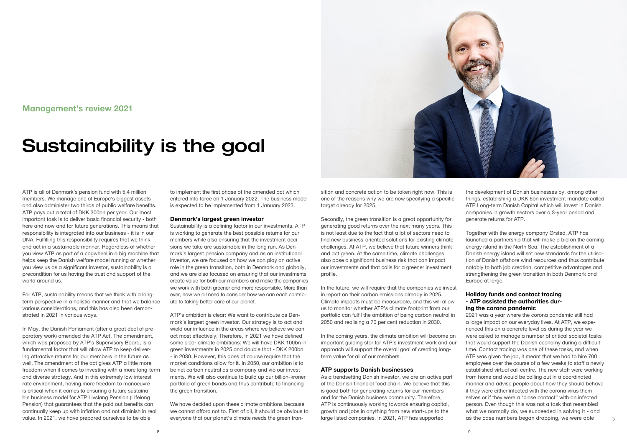

## **Management's review 2021**

# Sustainability is the goal

ATP is all of Denmark's pension fund with 5.4 million members. We manage one of Europe's biggest assets and also administer two thirds of public welfare benefits. ATP pays out a total of DKK 300bn per year. Our most important task is to deliver basic financial security - both here and now and for future generations. This means that responsibility is integrated into our business - it is in our DNA. Fulfilling this responsibility requires that we think and act in a sustainable manner. Regardless of whether you view ATP as part of a cogwheel in a big machine that helps keep the Danish welfare model running or whether you view us as a significant investor, sustainability is a precondition for us having the trust and support of the world around us.

For ATP, sustainability means that we think with a longterm perspective in a holistic manner and that we balance various considerations, and this has also been demonstrated in 2021 in various ways.

In May, the Danish Parliament (after a great deal of preparatory work) amended the ATP Act. The amendment, which was proposed by ATP's Supervisory Board, is a fundamental factor that will allow ATP to keep delivering attractive returns for our members in the future as well. The amendment of the act gives ATP a little more freedom when it comes to investing with a more long-term and diverse strategy. And in this extremely low interest rate environment, having more freedom to manoeuvre is critical when it comes to ensuring a future sustainable business model for ATP Livslang Pension (Lifelong Pension) that guarantees that the paid out benefits can continually keep up with inflation and not diminish in real value. In 2021, we have prepared ourselves to be able

sition and concrete action to be taken right now. This is one of the reasons why we are now specifying a specific target already for 2025.

to implement the first phase of the amended act which entered into force on 1 January 2022. The business model is expected to be implemented from 1 January 2023.

#### **Denmark's largest green investor**

Sustainability is a defining factor in our investments. ATP is working to generate the best possible returns for our members while also ensuring that the investment decisions we take are sustainable in the long run. As Denmark's largest pension company and as an institutional investor, we are focused on how we can play an active role in the green transition, both in Denmark and globally, and we are also focused on ensuring that our investments create value for both our members and make the companies we work with both greener and more responsible. More than ever, now we all need to consider how we can each contribute to taking better care of our planet.

> 2021 was a year where the corona pandemic still had a large impact on our everyday lives. At ATP, we experienced this on a concrete level as during the year we were asked to manage a number of critical societal tasks that would support the Danish economy during a difficult time. Contact tracing was one of these tasks, and when ATP was given the job, it meant that we had to hire 700 employees over the course of a few weeks to staff a newly established virtual call centre. The new staff were working from home and would be calling out in a coordinated manner and advise people about how they should behave if they were either infected with the corona virus themselves or if they were a "close contact" with an infected person. Even though this was not a task that resembled what we normally do, we succeeded in solving it - and as the case numbers began dropping, we were able  $\longrightarrow$

ATP's ambition is clear: We want to contribute as Denmark's largest green investor. Our strategy is to act and wield our influence in the areas where we believe we can act most effectively. Therefore, in 2021 we have defined some clear climate ambitions: We will have DKK 100bn in green investments in 2025 and double that - DKK 200bn - in 2030. However, this does of course require that the market conditions allow for it. In 2050, our ambition is to be net carbon neutral as a company and via our investments. We will also continue to build up our billion-kroner portfolio of green bonds and thus contribute to financing the green transition.

We have decided upon these climate ambitions because we cannot afford not to. First of all, it should be obvious to everyone that our planet's climate needs the green tranSecondly, the green transition is a great opportunity for generating good returns over the next many years. This is not least due to the fact that a lot of sectors need to find new business-oriented solutions for existing climate challenges. At ATP, we believe that future winners think and act green. At the same time, climate challenges also pose a significant business risk that can impact our investments and that calls for a greener investment profile.

In the future, we will require that the companies we invest in report on their carbon emissions already in 2025. Climate impacts must be measurable, and this will allow us to monitor whether ATP's climate footprint from our portfolio can fulfil the ambition of being carbon neutral in 2050 and realising a 70 per cent reduction in 2030.

In the coming years, the climate ambition will become an important guiding star for ATP's investment work and our approach will support the overall goal of creating longterm value for all of our members.

#### **ATP supports Danish businesses**

As a trendsetting Danish investor, we are an active part of the Danish financial food chain. We believe that this is good both for generating returns for our members and for the Danish business community. Therefore, ATP is continuously working towards ensuring capital, growth and jobs in anything from new start-ups to the large listed companies. In 2021, ATP has supported

the development of Danish businesses by, among other things, establishing a DKK 6bn investment mandate called ATP Long-term Danish Capital which will invest in Danish companies in growth sectors over a 3-year period and generate returns for ATP.

Together with the energy company Ørsted, ATP has launched a partnership that will make a bid on the coming energy island in the North Sea. The establishment of a Danish energy island will set new standards for the utilisation of Danish offshore wind resources and thus contribute notably to both job creation, competitive advantages and strengthening the green transition in both Denmark and Europe at large.

#### **Holiday funds and contact tracing - ATP assisted the authorities during the corona pandemic**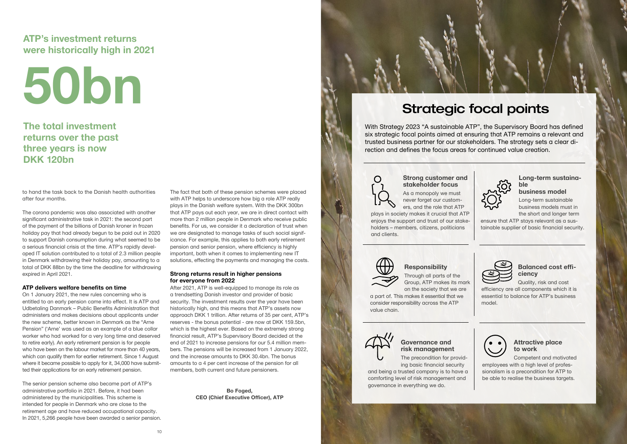to hand the task back to the Danish health authorities after four months.

The corona pandemic was also associated with another significant administrative task in 2021: the second part of the payment of the billions of Danish kroner in frozen holiday pay that had already begun to be paid out in 2020 to support Danish consumption during what seemed to be a serious financial crisis at the time. ATP's rapidly developed IT solution contributed to a total of 2.3 million people in Denmark withdrawing their holiday pay, amounting to a total of DKK 88bn by the time the deadline for withdrawing expired in April 2021.

#### **ATP delivers welfare benefits on time**

On 1 January 2021, the new rules concerning who is entitled to an early pension came into effect. It is ATP and Udbetaling Danmark – Public Benefits Administration that administers and makes decisions about applicants under the new scheme, better known in Denmark as the "Arne Pension" ('Arne' was used as an example of a blue collar worker who had worked for a very long time and deserved to retire early). An early retirement pension is for people who have been on the labour market for more than 40 years, which can qualify them for earlier retirement. Since 1 August where it became possible to apply for it, 34,000 have submitted their applications for an early retirement pension.

The senior pension scheme also became part of ATP's administrative portfolio in 2021. Before, it had been administered by the municipalities. This scheme is intended for people in Denmark who are close to the retirement age and have reduced occupational capacity. In 2021, 5,266 people have been awarded a senior pension. The fact that both of these pension schemes were placed with ATP helps to underscore how big a role ATP really plays in the Danish welfare system. With the DKK 300bn that ATP pays out each year, we are in direct contact with more than 2 million people in Denmark who receive public benefits. For us, we consider it a declaration of trust when we are designated to manage tasks of such social significance. For example, this applies to both early retirement pension and senior pension, where efficiency is highly important, both when it comes to implementing new IT solutions, effecting the payments and managing the costs.

#### **Strong returns result in higher pensions for everyone from 2022**

After 2021, ATP is well-equipped to manage its role as a trendsetting Danish investor and provider of basic security. The investment results over the year have been historically high, and this means that ATP's assets now approach DKK 1 trillion. After returns of 35 per cent, ATP's reserves - the bonus potential - are now at DKK 159.5bn, which is the highest ever. Based on the extremely strong financial result, ATP's Supervisory Board decided at the end of 2021 to increase pensions for our 5.4 million members. The pensions will be increased from 1 January 2022, and the increase amounts to DKK 30.4bn. The bonus amounts to a 4 per cent increase of the pension for all members, both current and future pensioners.

> **Bo Foged, CEO (Chief Executive Officer), ATP**

## **ATP's investment returns were historically high in 2021**

**The total investment returns over the past three years is now DKK 120bn**



With Strategy 2023 "A sustainable ATP", the Supervisory Board has defined six strategic focal points aimed at ensuring that ATP remains a relevant and trusted business partner for our stakeholders. The strategy sets a clear direction and defines the focus areas for continued value creation.

 $\bigcap$ 

**Strong customer and stakeholder focus**

As a monopoly we must never forget our customers, and the role that ATP

plays in society makes it crucial that ATP enjoys the support and trust of our stakeholders – members, citizens, politicians and clients.



#### **Long-term sustainable business model**

Long-term sustainable business models must in the short and longer term

ensure that ATP stays relevant as a sustainable supplier of basic financial security.



### **Responsibility**

Through all parts of the Group, ATP makes its mark on the society that we are

a part of. This makes it essential that we consider responsibility across the ATP value chain.



### **Balanced cost efficiency**

Quality, risk and cost

efficiency are all components which it is essential to balance for ATP's business model.



#### **Governance and risk management**

The precondition for providing basic financial security

and being a trusted company is to have a comforting level of risk management and governance in everything we do.

 $10$ 



### **Attractive place to work**

Competent and motivated employees with a high level of professionalism is a precondition for ATP to be able to realise the business targets.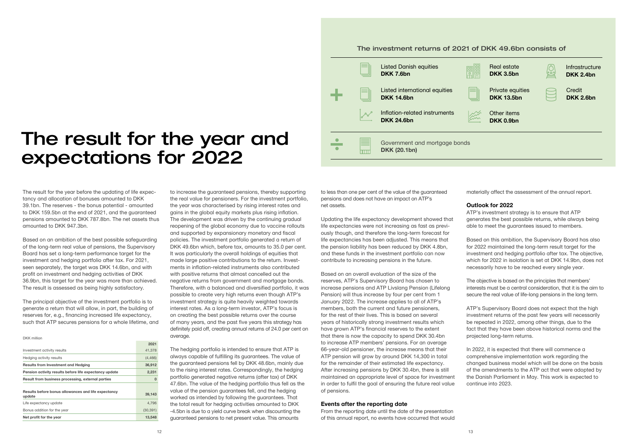## The result for the year and expectations for 2022

The result for the year before the updating of life expectancy and allocation of bonuses amounted to DKK 39.1bn. The reserves - the bonus potential - amounted to DKK 159.5bn at the end of 2021, and the guaranteed pensions amounted to DKK 787.8bn. The net assets thus amounted to DKK 947.3bn.

Based on an ambition of the best possible safeguarding of the long-term real value of pensions, the Supervisory Board has set a long-term performance target for the investment and hedging portfolio after tax. For 2021, seen separately, the target was DKK 14.6bn, and with profit on investment and hedging activities of DKK 36.9bn, this target for the year was more than achieved. The result is assessed as being highly satisfactory.

The principal objective of the investment portfolio is to generate a return that will allow, in part, the building of reserves for, e.g., financing increased life expectancy, such that ATP secures pensions for a whole lifetime, and to increase the guaranteed pensions, thereby supporting the real value for pensioners. For the investment portfolio, the year was characterised by rising interest rates and gains in the global equity markets plus rising inflation. The development was driven by the continuing gradual reopening of the global economy due to vaccine rollouts and supported by expansionary monetary and fiscal policies. The investment portfolio generated a return of DKK 49.6bn which, before tax, amounts to 35.0 per cent. It was particularly the overall holdings of equities that made large positive contributions to the return. Investments in inflation-related instruments also contributed with positive returns that almost cancelled out the negative returns from government and mortgage bonds. Therefore, with a balanced and diversified portfolio, it was possible to create very high returns even though ATP's investment strategy is quite heavily weighted towards interest rates. As a long-term investor, ATP's focus is on creating the best possible returns over the course of many years, and the past five years this strategy has definitely paid off, creating annual returns of 24.0 per cent on average.

The hedging portfolio is intended to ensure that ATP is always capable of fulfilling its guarantees. The value of the guaranteed pensions fell by DKK 48.6bn, mainly due to the rising interest rates. Correspondingly, the hedging portfolio generated negative returns (after tax) of DKK 47.6bn. The value of the hedging portfolio thus fell as the value of the pension guarantees fell, and the hedging worked as intended by following the guarantees. That the total result for hedging activities amounted to DKK -4.5bn is due to a yield curve break when discounting the guaranteed pensions to net present value. This amounts

DKK million

|                                                               | 2021      |
|---------------------------------------------------------------|-----------|
| Investment activity results                                   | 41,378    |
| Hedging activity results                                      | (4, 466)  |
| <b>Results from Investment and Hedging</b>                    | 36,912    |
| Pension activity results before life expectancy update        | 2,231     |
| Result from business processing, external parties             | 0         |
| Results before bonus allowances and life expectancy<br>update | 39,143    |
| Life expectancy update                                        | 4.796     |
| Bonus addition for the year                                   | (30, 391) |
| Net profit for the year                                       | 13.548    |

to less than one per cent of the value of the guaranteed pensions and does not have an impact on ATP's net assets.

Updating the life expectancy development showed that life expectancies were not increasing as fast as previously though, and therefore the long-term forecast for life expectancies has been adjusted. This means that the pension liability has been reduced by DKK 4.8bn, and these funds in the investment portfolio can now contribute to increasing pensions in the future.

Based on an overall evaluation of the size of the reserves, ATP's Supervisory Board has chosen to increase pensions and ATP Livslang Pension (Lifelong Pension) will thus increase by four per cent from 1 January 2022. The increase applies to all of ATP's members, both the current and future pensioners, for the rest of their lives. This is based on several years of historically strong investment results which have grown ATP's financial reserves to the extent that there is now the capacity to spend DKK 30.4bn to increase ATP members' pensions. For an average 66-year-old pensioner, the increase means that their ATP pension will grow by around DKK 14,300 in total for the remainder of their estimated life expectancy. After increasing pensions by DKK 30.4bn, there is still maintained an appropriate level of space for investment in order to fulfil the goal of ensuring the future real value of pensions.

#### **Events after the reporting date**

From the reporting date until the date of the presentation of this annual report, no events have occurred that would materially affect the assessment of the annual report.

#### **Outlook for 2022**

ATP's investment strategy is to ensure that ATP generates the best possible returns, while always being able to meet the guarantees issued to members.

Based on this ambition, the Supervisory Board has also for 2022 maintained the long-term result target for the investment and hedging portfolio after tax. The objective, which for 2022 in isolation is set at DKK 14.9bn, does not necessarily have to be reached every single year.

The objective is based on the principles that members' interests must be a central consideration, that it is the aim to secure the real value of life-long pensions in the long term.

ATP's Supervisory Board does not expect that the high investment returns of the past few years will necessarily be repeated in 2022, among other things, due to the fact that they have been above historical norms and the projected long-term returns.

In 2022, it is expected that there will commence a comprehensive implementation work regarding the changed business model which will be done on the basis of the amendments to the ATP act that were adopted by the Danish Parliament in May. This work is expected to continue into 2023.